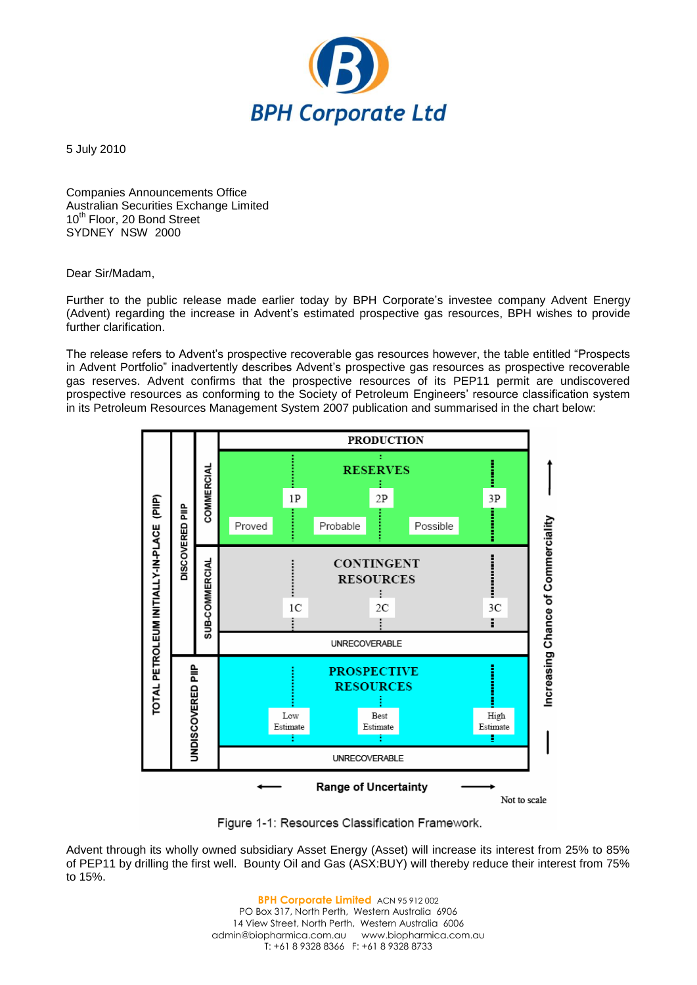

5 July 2010

Companies Announcements Office Australian Securities Exchange Limited 10<sup>th</sup> Floor, 20 Bond Street SYDNEY NSW 2000

## Dear Sir/Madam,

Further to the public release made earlier today by BPH Corporate's investee company Advent Energy (Advent) regarding the increase in Advent's estimated prospective gas resources, BPH wishes to provide further clarification.

The release refers to Advent's prospective recoverable gas resources however, the table entitled "Prospects in Advent Portfolio" inadvertently describes Advent's prospective gas resources as prospective recoverable gas reserves. Advent confirms that the prospective resources of its PEP11 permit are undiscovered prospective resources as conforming to the Society of Petroleum Engineers' resource classification system in its Petroleum Resources Management System 2007 publication and summarised in the chart below:



Figure 1-1: Resources Classification Framework.

Advent through its wholly owned subsidiary Asset Energy (Asset) will increase its interest from 25% to 85% of PEP11 by drilling the first well. Bounty Oil and Gas (ASX:BUY) will thereby reduce their interest from 75% to 15%.